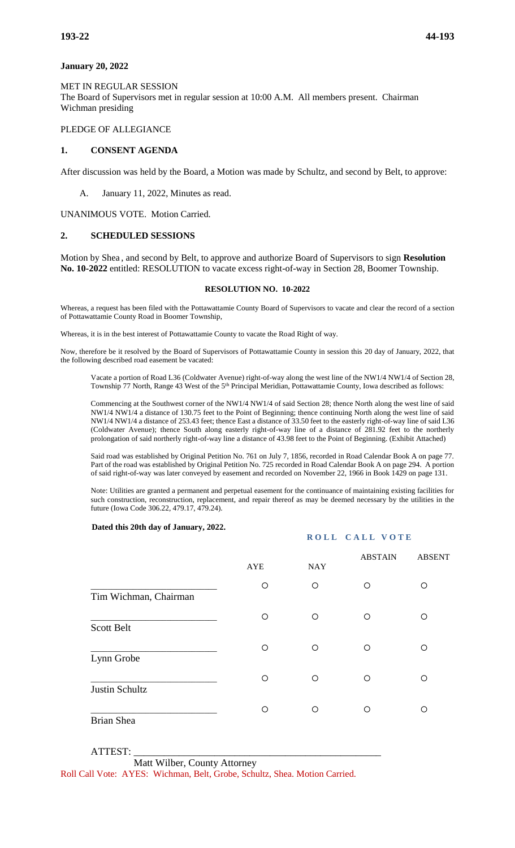### **January 20, 2022**

MET IN REGULAR SESSION The Board of Supervisors met in regular session at 10:00 A.M. All members present. Chairman Wichman presiding

#### PLEDGE OF ALLEGIANCE

### **1. CONSENT AGENDA**

After discussion was held by the Board, a Motion was made by Schultz, and second by Belt, to approve:

A. January 11, 2022, Minutes as read.

UNANIMOUS VOTE. Motion Carried.

#### **2. SCHEDULED SESSIONS**

Motion by Shea , and second by Belt, to approve and authorize Board of Supervisors to sign **Resolution No. 10-2022** entitled: RESOLUTION to vacate excess right-of-way in Section 28, Boomer Township.

#### **RESOLUTION NO. 10-2022**

Whereas, a request has been filed with the Pottawattamie County Board of Supervisors to vacate and clear the record of a section of Pottawattamie County Road in Boomer Township,

Whereas, it is in the best interest of Pottawattamie County to vacate the Road Right of way.

Now, therefore be it resolved by the Board of Supervisors of Pottawattamie County in session this 20 day of January, 2022, that the following described road easement be vacated:

Vacate a portion of Road L36 (Coldwater Avenue) right-of-way along the west line of the NW1/4 NW1/4 of Section 28, Township 77 North, Range 43 West of the 5<sup>th</sup> Principal Meridian, Pottawattamie County, Iowa described as follows:

Commencing at the Southwest corner of the NW1/4 NW1/4 of said Section 28; thence North along the west line of said NW1/4 NW1/4 a distance of 130.75 feet to the Point of Beginning; thence continuing North along the west line of said NW1/4 NW1/4 a distance of 253.43 feet; thence East a distance of 33.50 feet to the easterly right-of-way line of said L36 (Coldwater Avenue); thence South along easterly right-of-way line of a distance of 281.92 feet to the northerly prolongation of said northerly right-of-way line a distance of 43.98 feet to the Point of Beginning. (Exhibit Attached)

Said road was established by Original Petition No. 761 on July 7, 1856, recorded in Road Calendar Book A on page 77. Part of the road was established by Original Petition No. 725 recorded in Road Calendar Book A on page 294. A portion of said right-of-way was later conveyed by easement and recorded on November 22, 1966 in Book 1429 on page 131.

Note: Utilities are granted a permanent and perpetual easement for the continuance of maintaining existing facilities for such construction, reconstruction, replacement, and repair thereof as may be deemed necessary by the utilities in the future (Iowa Code 306.22, 479.17, 479.24).

**ROLL CALL VOTE** 

#### **Dated this 20th day of January, 2022.**

|                       | <b>AYE</b> | <b>NAY</b> | <b>ABSTAIN</b> | <b>ABSENT</b> |
|-----------------------|------------|------------|----------------|---------------|
| Tim Wichman, Chairman | O          | O          | ∩              | ◯             |
| <b>Scott Belt</b>     | Ω          | $\circ$    | ∩              | ∩             |
| Lynn Grobe            | O          | O          | ∩              | ◯             |
| Justin Schultz        | Ω          | $\circ$    | ∩              | ∩             |
| <b>Brian Shea</b>     | ∩          | ∩          | ∩              | ∩             |

# ATTEST: \_\_\_\_\_\_\_\_\_\_\_\_\_\_\_\_\_\_\_\_\_\_\_\_\_\_\_\_\_\_\_\_\_\_\_\_\_\_\_\_\_\_\_\_\_\_\_\_\_

 Matt Wilber, County Attorney Roll Call Vote: AYES: Wichman, Belt, Grobe, Schultz, Shea. Motion Carried.